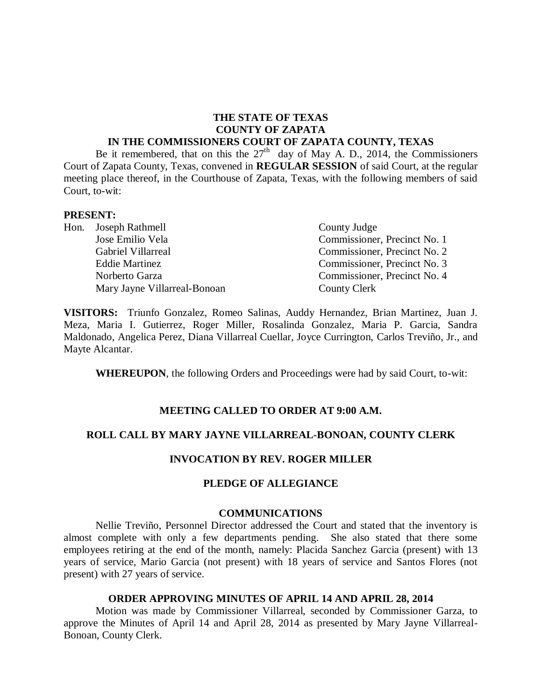# **THE STATE OF TEXAS COUNTY OF ZAPATA**

#### **IN THE COMMISSIONERS COURT OF ZAPATA COUNTY, TEXAS**

Be it remembered, that on this the  $27<sup>th</sup>$  day of May A. D., 2014, the Commissioners Court of Zapata County, Texas, convened in **REGULAR SESSION** of said Court, at the regular meeting place thereof, in the Courthouse of Zapata, Texas, with the following members of said Court, to-wit:

#### **PRESENT:**

| Hon. Joseph Rathmell         | County Judge                 |
|------------------------------|------------------------------|
| Jose Emilio Vela             | Commissioner, Precinct No. 1 |
| Gabriel Villarreal           | Commissioner, Precinct No. 2 |
| <b>Eddie Martinez</b>        | Commissioner, Precinct No. 3 |
| Norberto Garza               | Commissioner, Precinct No. 4 |
| Mary Jayne Villarreal-Bonoan | County Clerk                 |
|                              |                              |

**VISITORS:** Triunfo Gonzalez, Romeo Salinas, Auddy Hernandez, Brian Martinez, Juan J. Meza, Maria I. Gutierrez, Roger Miller, Rosalinda Gonzalez, Maria P. Garcia, Sandra Maldonado, Angelica Perez, Diana Villarreal Cuellar, Joyce Currington, Carlos Treviño, Jr., and Mayte Alcantar.

**WHEREUPON**, the following Orders and Proceedings were had by said Court, to-wit:

### **MEETING CALLED TO ORDER AT 9:00 A.M.**

### **ROLL CALL BY MARY JAYNE VILLARREAL-BONOAN, COUNTY CLERK**

### **INVOCATION BY REV. ROGER MILLER**

#### **PLEDGE OF ALLEGIANCE**

#### **COMMUNICATIONS**

Nellie Treviño, Personnel Director addressed the Court and stated that the inventory is almost complete with only a few departments pending. She also stated that there some employees retiring at the end of the month, namely: Placida Sanchez Garcia (present) with 13 years of service, Mario Garcia (not present) with 18 years of service and Santos Flores (not present) with 27 years of service.

#### **ORDER APPROVING MINUTES OF APRIL 14 AND APRIL 28, 2014**

Motion was made by Commissioner Villarreal, seconded by Commissioner Garza, to approve the Minutes of April 14 and April 28, 2014 as presented by Mary Jayne Villarreal-Bonoan, County Clerk.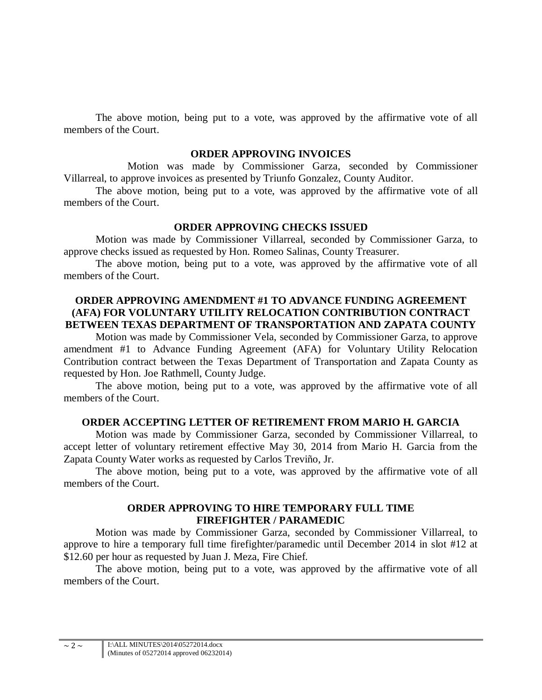The above motion, being put to a vote, was approved by the affirmative vote of all members of the Court.

#### **ORDER APPROVING INVOICES**

Motion was made by Commissioner Garza, seconded by Commissioner Villarreal, to approve invoices as presented by Triunfo Gonzalez, County Auditor.

The above motion, being put to a vote, was approved by the affirmative vote of all members of the Court.

### **ORDER APPROVING CHECKS ISSUED**

Motion was made by Commissioner Villarreal, seconded by Commissioner Garza, to approve checks issued as requested by Hon. Romeo Salinas, County Treasurer.

The above motion, being put to a vote, was approved by the affirmative vote of all members of the Court.

### **ORDER APPROVING AMENDMENT #1 TO ADVANCE FUNDING AGREEMENT (AFA) FOR VOLUNTARY UTILITY RELOCATION CONTRIBUTION CONTRACT BETWEEN TEXAS DEPARTMENT OF TRANSPORTATION AND ZAPATA COUNTY**

Motion was made by Commissioner Vela, seconded by Commissioner Garza, to approve amendment #1 to Advance Funding Agreement (AFA) for Voluntary Utility Relocation Contribution contract between the Texas Department of Transportation and Zapata County as requested by Hon. Joe Rathmell, County Judge.

The above motion, being put to a vote, was approved by the affirmative vote of all members of the Court.

### **ORDER ACCEPTING LETTER OF RETIREMENT FROM MARIO H. GARCIA**

Motion was made by Commissioner Garza, seconded by Commissioner Villarreal, to accept letter of voluntary retirement effective May 30, 2014 from Mario H. Garcia from the Zapata County Water works as requested by Carlos Treviño, Jr.

The above motion, being put to a vote, was approved by the affirmative vote of all members of the Court.

### **ORDER APPROVING TO HIRE TEMPORARY FULL TIME FIREFIGHTER / PARAMEDIC**

Motion was made by Commissioner Garza, seconded by Commissioner Villarreal, to approve to hire a temporary full time firefighter/paramedic until December 2014 in slot #12 at \$12.60 per hour as requested by Juan J. Meza, Fire Chief.

The above motion, being put to a vote, was approved by the affirmative vote of all members of the Court.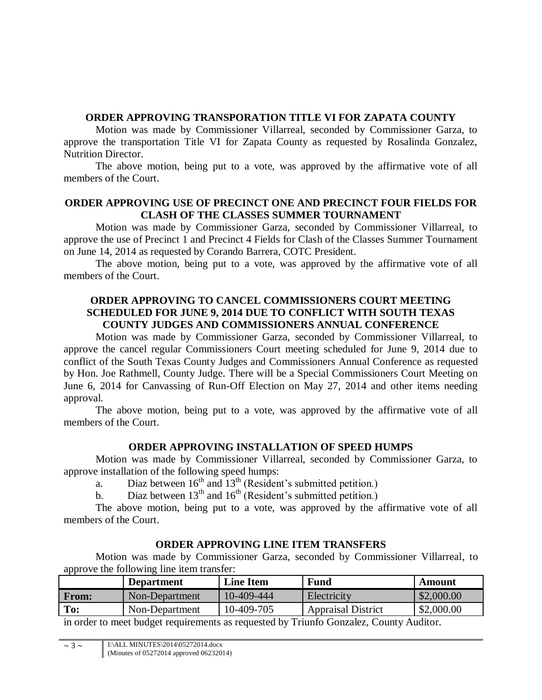## **ORDER APPROVING TRANSPORATION TITLE VI FOR ZAPATA COUNTY**

Motion was made by Commissioner Villarreal, seconded by Commissioner Garza, to approve the transportation Title VI for Zapata County as requested by Rosalinda Gonzalez, Nutrition Director.

The above motion, being put to a vote, was approved by the affirmative vote of all members of the Court.

# **ORDER APPROVING USE OF PRECINCT ONE AND PRECINCT FOUR FIELDS FOR CLASH OF THE CLASSES SUMMER TOURNAMENT**

Motion was made by Commissioner Garza, seconded by Commissioner Villarreal, to approve the use of Precinct 1 and Precinct 4 Fields for Clash of the Classes Summer Tournament on June 14, 2014 as requested by Corando Barrera, COTC President.

The above motion, being put to a vote, was approved by the affirmative vote of all members of the Court.

## **ORDER APPROVING TO CANCEL COMMISSIONERS COURT MEETING SCHEDULED FOR JUNE 9, 2014 DUE TO CONFLICT WITH SOUTH TEXAS COUNTY JUDGES AND COMMISSIONERS ANNUAL CONFERENCE**

Motion was made by Commissioner Garza, seconded by Commissioner Villarreal, to approve the cancel regular Commissioners Court meeting scheduled for June 9, 2014 due to conflict of the South Texas County Judges and Commissioners Annual Conference as requested by Hon. Joe Rathmell, County Judge. There will be a Special Commissioners Court Meeting on June 6, 2014 for Canvassing of Run-Off Election on May 27, 2014 and other items needing approval.

The above motion, being put to a vote, was approved by the affirmative vote of all members of the Court.

# **ORDER APPROVING INSTALLATION OF SPEED HUMPS**

Motion was made by Commissioner Villarreal, seconded by Commissioner Garza, to approve installation of the following speed humps:

a. Diaz between  $16<sup>th</sup>$  and  $13<sup>th</sup>$  (Resident's submitted petition.)

b. Diaz between  $13^{th}$  and  $16^{th}$  (Resident's submitted petition.)

The above motion, being put to a vote, was approved by the affirmative vote of all members of the Court.

# **ORDER APPROVING LINE ITEM TRANSFERS**

Motion was made by Commissioner Garza, seconded by Commissioner Villarreal, to approve the following line item transfer:

|              | <b>Department</b> | <b>Line Item</b> | <b>Fund</b>               | Amount     |
|--------------|-------------------|------------------|---------------------------|------------|
| <b>From:</b> | Non-Department    | 10-409-444       | Electricity               | \$2,000.00 |
| To:          | Non-Department    | 10-409-705       | <b>Appraisal District</b> | \$2,000.00 |

in order to meet budget requirements as requested by Triunfo Gonzalez, County Auditor.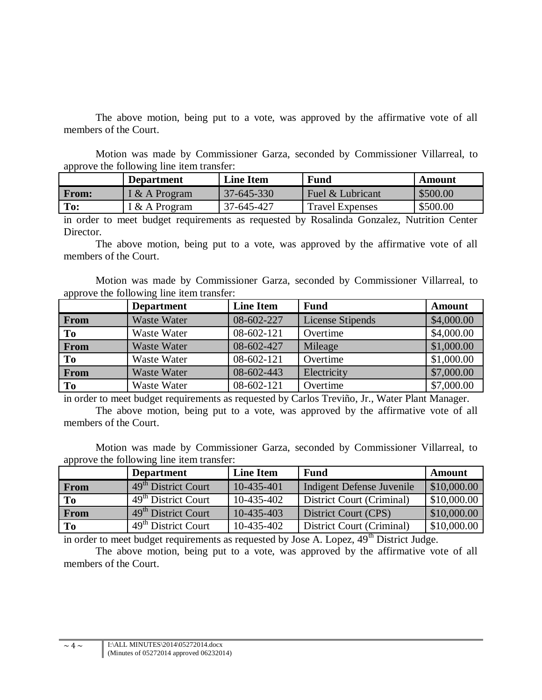The above motion, being put to a vote, was approved by the affirmative vote of all members of the Court.

Motion was made by Commissioner Garza, seconded by Commissioner Villarreal, to approve the following line item transfer:

|              | <b>Department</b> | <b>Line Item</b> | Fund                   | Amount   |
|--------------|-------------------|------------------|------------------------|----------|
| <b>From:</b> | I & A Program     | $37 - 645 - 330$ | Fuel & Lubricant       | \$500.00 |
| To:          | I & A Program     | 37-645-427       | <b>Travel Expenses</b> | \$500.00 |

in order to meet budget requirements as requested by Rosalinda Gonzalez, Nutrition Center Director.

The above motion, being put to a vote, was approved by the affirmative vote of all members of the Court.

Motion was made by Commissioner Garza, seconded by Commissioner Villarreal, to approve the following line item transfer:

|                | <b>Department</b>  | <b>Line Item</b> | <b>Fund</b>      | Amount     |
|----------------|--------------------|------------------|------------------|------------|
| From           | <b>Waste Water</b> | 08-602-227       | License Stipends | \$4,000.00 |
| To             | Waste Water        | $08-602-121$     | Overtime         | \$4,000.00 |
| From           | <b>Waste Water</b> | 08-602-427       | Mileage          | \$1,000.00 |
| To             | Waste Water        | 08-602-121       | Overtime         | \$1,000.00 |
| From           | <b>Waste Water</b> | 08-602-443       | Electricity      | \$7,000.00 |
| T <sub>0</sub> | <b>Waste Water</b> | 08-602-121       | Overtime         | \$7,000.00 |

in order to meet budget requirements as requested by Carlos Treviño, Jr., Water Plant Manager. The above motion, being put to a vote, was approved by the affirmative vote of all members of the Court.

Motion was made by Commissioner Garza, seconded by Commissioner Villarreal, to approve the following line item transfer:

|             | <b>Department</b>               | <b>Line Item</b> | <b>Fund</b>                      | <b>Amount</b> |
|-------------|---------------------------------|------------------|----------------------------------|---------------|
| <b>From</b> | 49 <sup>th</sup> District Court | $10-435-401$     | <b>Indigent Defense Juvenile</b> | \$10,000.00   |
| <b>To</b>   | 49 <sup>th</sup> District Court | 10-435-402       | District Court (Criminal)        | \$10,000.00   |
| From        | 49 <sup>th</sup> District Court | 10-435-403       | District Court (CPS)             | \$10,000.00   |
| To          | 49 <sup>th</sup> District Court | 10-435-402       | District Court (Criminal)        | \$10,000.00   |

in order to meet budget requirements as requested by Jose A. Lopez,  $49<sup>th</sup>$  District Judge.

The above motion, being put to a vote, was approved by the affirmative vote of all members of the Court.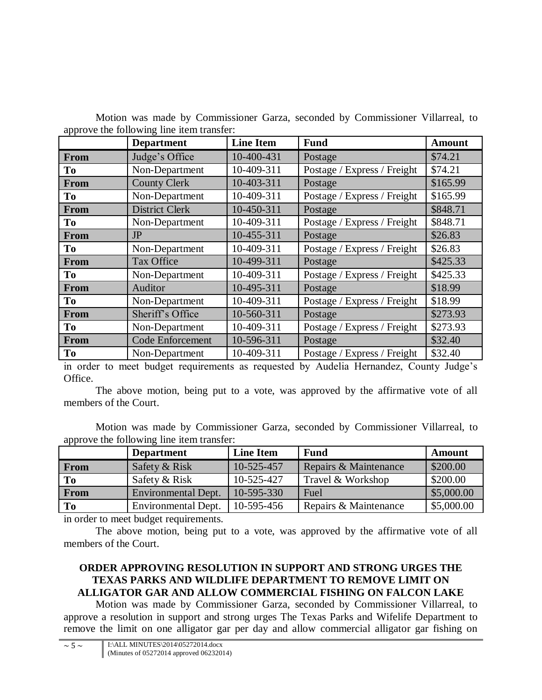Motion was made by Commissioner Garza, seconded by Commissioner Villarreal, to approve the following line item transfer:

|                | <b>Department</b>       | <b>Line Item</b> | <b>Fund</b>                 | <b>Amount</b> |
|----------------|-------------------------|------------------|-----------------------------|---------------|
| From           | Judge's Office          | 10-400-431       | Postage                     | \$74.21       |
| To             | Non-Department          | 10-409-311       | Postage / Express / Freight | \$74.21       |
| From           | <b>County Clerk</b>     | 10-403-311       | Postage                     | \$165.99      |
| T <sub>o</sub> | Non-Department          | 10-409-311       | Postage / Express / Freight | \$165.99      |
| <b>From</b>    | <b>District Clerk</b>   | 10-450-311       | Postage                     | \$848.71      |
| T <sub>0</sub> | Non-Department          | 10-409-311       | Postage / Express / Freight | \$848.71      |
| <b>From</b>    | <b>JP</b>               | 10-455-311       | Postage                     | \$26.83       |
| T <sub>0</sub> | Non-Department          | 10-409-311       | Postage / Express / Freight | \$26.83       |
| <b>From</b>    | Tax Office              | 10-499-311       | Postage                     | \$425.33      |
| T <sub>o</sub> | Non-Department          | 10-409-311       | Postage / Express / Freight | \$425.33      |
| From           | Auditor                 | 10-495-311       | Postage                     | \$18.99       |
| To             | Non-Department          | 10-409-311       | Postage / Express / Freight | \$18.99       |
| <b>From</b>    | Sheriff's Office        | 10-560-311       | Postage                     | \$273.93      |
| T <sub>o</sub> | Non-Department          | 10-409-311       | Postage / Express / Freight | \$273.93      |
| From           | <b>Code Enforcement</b> | 10-596-311       | Postage                     | \$32.40       |
| T <sub>0</sub> | Non-Department          | 10-409-311       | Postage / Express / Freight | \$32.40       |

in order to meet budget requirements as requested by Audelia Hernandez, County Judge's Office.

The above motion, being put to a vote, was approved by the affirmative vote of all members of the Court.

Motion was made by Commissioner Garza, seconded by Commissioner Villarreal, to approve the following line item transfer:

|             | <b>Department</b>   | <b>Line Item</b> | <b>Fund</b>           | Amount     |
|-------------|---------------------|------------------|-----------------------|------------|
| <b>From</b> | Safety & Risk       | 10-525-457       | Repairs & Maintenance | \$200.00   |
| To          | Safety & Risk       | 10-525-427       | Travel & Workshop     | \$200.00   |
| <b>From</b> | Environmental Dept. | $10 - 595 - 330$ | Fuel                  | \$5,000.00 |
| To          | Environmental Dept. | 10-595-456       | Repairs & Maintenance | \$5,000.00 |

in order to meet budget requirements.

The above motion, being put to a vote, was approved by the affirmative vote of all members of the Court.

### **ORDER APPROVING RESOLUTION IN SUPPORT AND STRONG URGES THE TEXAS PARKS AND WILDLIFE DEPARTMENT TO REMOVE LIMIT ON ALLIGATOR GAR AND ALLOW COMMERCIAL FISHING ON FALCON LAKE**

Motion was made by Commissioner Garza, seconded by Commissioner Villarreal, to approve a resolution in support and strong urges The Texas Parks and Wifelife Department to remove the limit on one alligator gar per day and allow commercial alligator gar fishing on